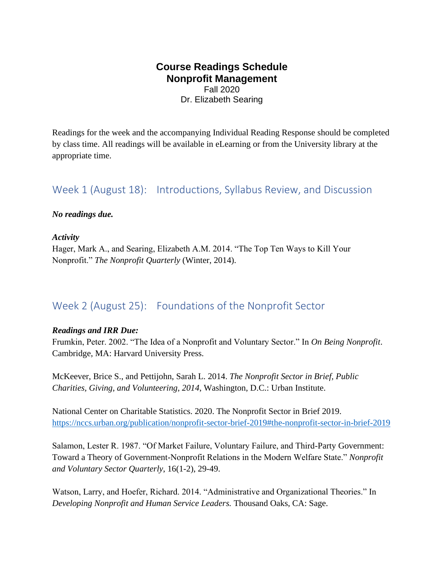### **Course Readings Schedule Nonprofit Management** Fall 2020

Dr. Elizabeth Searing

Readings for the week and the accompanying Individual Reading Response should be completed by class time. All readings will be available in eLearning or from the University library at the appropriate time.

### Week 1 (August 18): Introductions, Syllabus Review, and Discussion

#### *No readings due.*

#### *Activity*

Hager, Mark A., and Searing, Elizabeth A.M. 2014. "The Top Ten Ways to Kill Your Nonprofit." *The Nonprofit Quarterly* (Winter, 2014).

# Week 2 (August 25): Foundations of the Nonprofit Sector

#### *Readings and IRR Due:*

Frumkin, Peter. 2002. "The Idea of a Nonprofit and Voluntary Sector." In *On Being Nonprofit*. Cambridge, MA: Harvard University Press.

McKeever, Brice S., and Pettijohn, Sarah L. 2014. *The Nonprofit Sector in Brief, Public Charities, Giving, and Volunteering, 2014*, Washington, D.C.: Urban Institute.

National Center on Charitable Statistics. 2020. The Nonprofit Sector in Brief 2019. <https://nccs.urban.org/publication/nonprofit-sector-brief-2019#the-nonprofit-sector-in-brief-2019>

Salamon, Lester R. 1987. "Of Market Failure, Voluntary Failure, and Third-Party Government: Toward a Theory of Government-Nonprofit Relations in the Modern Welfare State." *Nonprofit and Voluntary Sector Quarterly*, 16(1-2), 29-49.

Watson, Larry, and Hoefer, Richard. 2014. "Administrative and Organizational Theories." In *Developing Nonprofit and Human Service Leaders.* Thousand Oaks, CA: Sage.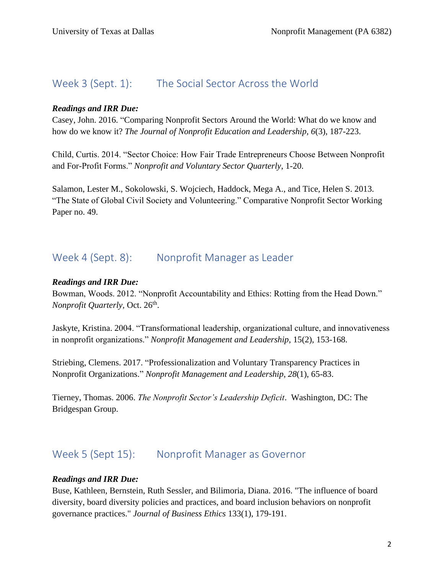### Week 3 (Sept. 1): The Social Sector Across the World

### *Readings and IRR Due:*

Casey, John. 2016. "Comparing Nonprofit Sectors Around the World: What do we know and how do we know it? *The Journal of Nonprofit Education and Leadership, 6*(3), 187-223.

Child, Curtis. 2014. "Sector Choice: How Fair Trade Entrepreneurs Choose Between Nonprofit and For-Profit Forms." *Nonprofit and Voluntary Sector Quarterly*, 1-20.

Salamon, Lester M., Sokolowski, S. Wojciech, Haddock, Mega A., and Tice, Helen S. 2013. "The State of Global Civil Society and Volunteering." Comparative Nonprofit Sector Working Paper no. 49.

### Week 4 (Sept. 8): Nonprofit Manager as Leader

### *Readings and IRR Due:*

Bowman, Woods. 2012. "Nonprofit Accountability and Ethics: Rotting from the Head Down." *Nonprofit Quarterly, Oct. 26<sup>th</sup>.* 

Jaskyte, Kristina. 2004. "Transformational leadership, organizational culture, and innovativeness in nonprofit organizations." *Nonprofit Management and Leadership*, 15(2), 153-168.

Striebing, Clemens. 2017. "Professionalization and Voluntary Transparency Practices in Nonprofit Organizations." *Nonprofit Management and Leadership*, *28*(1), 65-83.

Tierney, Thomas. 2006. *The Nonprofit Sector's Leadership Deficit*. Washington, DC: The Bridgespan Group.

# Week 5 (Sept 15): Nonprofit Manager as Governor

#### *Readings and IRR Due:*

Buse, Kathleen, Bernstein, Ruth Sessler, and Bilimoria, Diana. 2016. "The influence of board diversity, board diversity policies and practices, and board inclusion behaviors on nonprofit governance practices." *Journal of Business Ethics* 133(1), 179-191.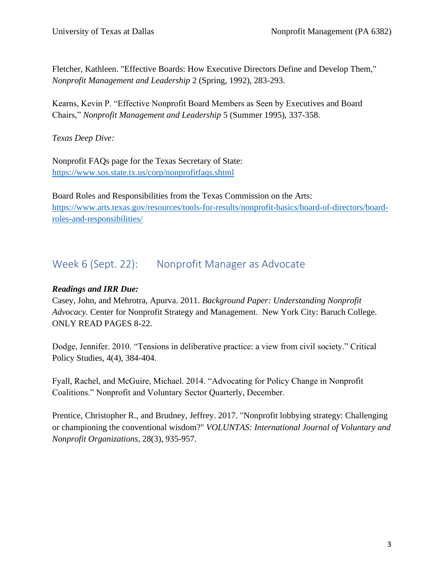Fletcher, Kathleen. "Effective Boards: How Executive Directors Define and Develop Them," *Nonprofit Management and Leadership* 2 (Spring, 1992), 283-293.

Kearns, Kevin P. "Effective Nonprofit Board Members as Seen by Executives and Board Chairs," *Nonprofit Management and Leadership* 5 (Summer 1995), 337-358.

*Texas Deep Dive:*

Nonprofit FAQs page for the Texas Secretary of State: <https://www.sos.state.tx.us/corp/nonprofitfaqs.shtml>

Board Roles and Responsibilities from the Texas Commission on the Arts: [https://www.arts.texas.gov/resources/tools-for-results/nonprofit-basics/board-of-directors/board](https://www.arts.texas.gov/resources/tools-for-results/nonprofit-basics/board-of-directors/board-roles-and-responsibilities/)[roles-and-responsibilities/](https://www.arts.texas.gov/resources/tools-for-results/nonprofit-basics/board-of-directors/board-roles-and-responsibilities/)

# Week 6 (Sept. 22): Nonprofit Manager as Advocate

### *Readings and IRR Due:*

Casey, John, and Mehrotra, Apurva. 2011. *Background Paper: Understanding Nonprofit Advocacy.* Center for Nonprofit Strategy and Management. New York City: Baruch College. ONLY READ PAGES 8-22.

Dodge, Jennifer. 2010. "Tensions in deliberative practice: a view from civil society." Critical Policy Studies, 4(4), 384-404.

Fyall, Rachel, and McGuire, Michael. 2014. "Advocating for Policy Change in Nonprofit Coalitions." Nonprofit and Voluntary Sector Quarterly, December.

Prentice, Christopher R., and Brudney, Jeffrey. 2017. "Nonprofit lobbying strategy: Challenging or championing the conventional wisdom?" *VOLUNTAS: International Journal of Voluntary and Nonprofit Organizations,* 28(3), 935-957.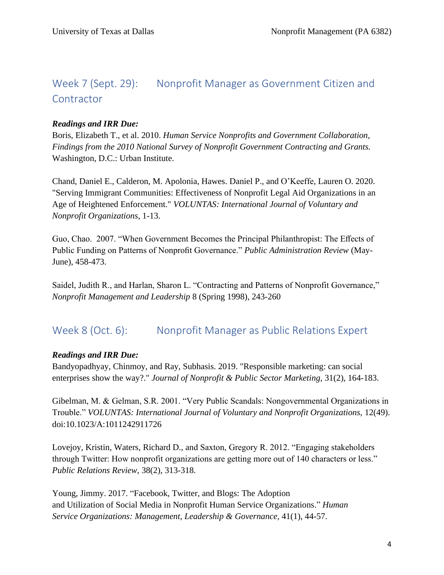# Week 7 (Sept. 29): Nonprofit Manager as Government Citizen and **Contractor**

### *Readings and IRR Due:*

Boris, Elizabeth T., et al. 2010. *Human Service Nonprofits and Government Collaboration, Findings from the 2010 National Survey of Nonprofit Government Contracting and Grants.*  Washington, D.C.: Urban Institute.

Chand, Daniel E., Calderon, M. Apolonia, Hawes. Daniel P., and O'Keeffe, Lauren O. 2020. "Serving Immigrant Communities: Effectiveness of Nonprofit Legal Aid Organizations in an Age of Heightened Enforcement." *VOLUNTAS: International Journal of Voluntary and Nonprofit Organizations*, 1-13.

Guo, Chao. 2007. "When Government Becomes the Principal Philanthropist: The Effects of Public Funding on Patterns of Nonprofit Governance." *Public Administration Review* (May-June), 458-473.

Saidel, Judith R., and Harlan, Sharon L. "Contracting and Patterns of Nonprofit Governance," *Nonprofit Management and Leadership* 8 (Spring 1998), 243-260

### Week 8 (Oct. 6): Nonprofit Manager as Public Relations Expert

### *Readings and IRR Due:*

Bandyopadhyay, Chinmoy, and Ray, Subhasis. 2019. "Responsible marketing: can social enterprises show the way?." *Journal of Nonprofit & Public Sector Marketing,* 31(2), 164-183.

Gibelman, M. & Gelman, S.R. 2001. "Very Public Scandals: Nongovernmental Organizations in Trouble." *VOLUNTAS: International Journal of Voluntary and Nonprofit Organizations,* 12(49). doi:10.1023/A:1011242911726

Lovejoy, Kristin, Waters, Richard D., and Saxton, Gregory R. 2012. "Engaging stakeholders through Twitter: How nonprofit organizations are getting more out of 140 characters or less." *Public Relations Review*, 38(2), 313-318.

Young, Jimmy. 2017. "Facebook, Twitter, and Blogs: The Adoption and Utilization of Social Media in Nonprofit Human Service Organizations." *Human Service Organizations: Management, Leadership & Governance,* 41(1), 44-57.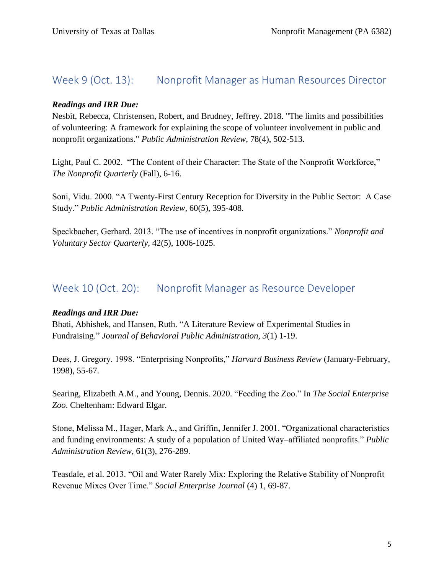### Week 9 (Oct. 13): Nonprofit Manager as Human Resources Director

### *Readings and IRR Due:*

Nesbit, Rebecca, Christensen, Robert, and Brudney, Jeffrey. 2018. "The limits and possibilities of volunteering: A framework for explaining the scope of volunteer involvement in public and nonprofit organizations." *Public Administration Review,* 78(4), 502-513.

Light, Paul C. 2002. "The Content of their Character: The State of the Nonprofit Workforce," *The Nonprofit Quarterly* (Fall), 6-16.

Soni, Vidu. 2000. "A Twenty-First Century Reception for Diversity in the Public Sector: A Case Study." *Public Administration Review,* 60(5), 395-408.

Speckbacher, Gerhard. 2013. "The use of incentives in nonprofit organizations." *Nonprofit and Voluntary Sector Quarterly,* 42(5), 1006-1025.

### Week 10 (Oct. 20): Nonprofit Manager as Resource Developer

#### *Readings and IRR Due:*

Bhati, Abhishek, and Hansen, Ruth. "A Literature Review of Experimental Studies in Fundraising." *Journal of Behavioral Public Administration, 3*(1) 1-19.

Dees, J. Gregory. 1998. "Enterprising Nonprofits," *Harvard Business Review* (January-February, 1998), 55-67.

Searing, Elizabeth A.M., and Young, Dennis. 2020. "Feeding the Zoo." In *The Social Enterprise Zoo*. Cheltenham: Edward Elgar.

Stone, Melissa M., Hager, Mark A., and Griffin, Jennifer J. 2001. "Organizational characteristics and funding environments: A study of a population of United Way–affiliated nonprofits." *Public Administration Review*, 61(3), 276-289.

Teasdale, et al. 2013. "Oil and Water Rarely Mix: Exploring the Relative Stability of Nonprofit Revenue Mixes Over Time." *Social Enterprise Journal* (4) 1, 69-87.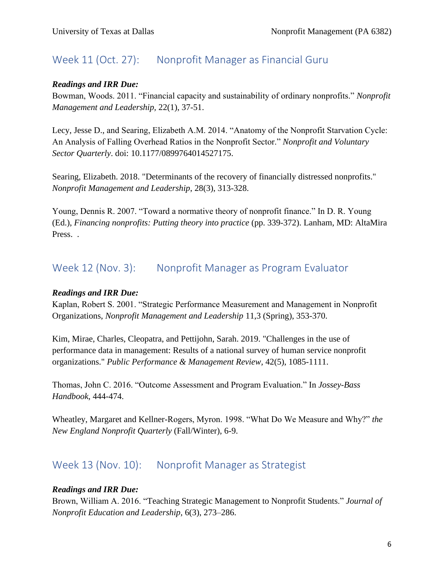# Week 11 (Oct. 27): Nonprofit Manager as Financial Guru

### *Readings and IRR Due:*

Bowman, Woods. 2011. "Financial capacity and sustainability of ordinary nonprofits." *Nonprofit Management and Leadership,* 22(1), 37-51.

Lecy, Jesse D., and Searing, Elizabeth A.M. 2014. "Anatomy of the Nonprofit Starvation Cycle: An Analysis of Falling Overhead Ratios in the Nonprofit Sector." *Nonprofit and Voluntary Sector Quarterly*. doi: 10.1177/0899764014527175.

Searing, Elizabeth. 2018. "Determinants of the recovery of financially distressed nonprofits." *Nonprofit Management and Leadership*, 28(3), 313-328.

Young, Dennis R. 2007. "Toward a normative theory of nonprofit finance." In D. R. Young (Ed.), *Financing nonprofits: Putting theory into practice* (pp. 339-372). Lanham, MD: AltaMira Press. .

# Week 12 (Nov. 3): Nonprofit Manager as Program Evaluator

### *Readings and IRR Due:*

Kaplan, Robert S. 2001. "Strategic Performance Measurement and Management in Nonprofit Organizations, *Nonprofit Management and Leadership* 11,3 (Spring), 353-370.

Kim, Mirae, Charles, Cleopatra, and Pettijohn, Sarah. 2019. "Challenges in the use of performance data in management: Results of a national survey of human service nonprofit organizations." *Public Performance & Management Review,* 42(5), 1085-1111.

Thomas, John C. 2016. "Outcome Assessment and Program Evaluation." In *Jossey-Bass Handbook*, 444-474.

Wheatley, Margaret and Kellner-Rogers, Myron. 1998. "What Do We Measure and Why?" *the New England Nonprofit Quarterly* (Fall/Winter), 6-9.

# Week 13 (Nov. 10): Nonprofit Manager as Strategist

### *Readings and IRR Due:*

Brown, William A. 2016. "Teaching Strategic Management to Nonprofit Students." *Journal of Nonprofit Education and Leadership*, 6(3), 273–286.